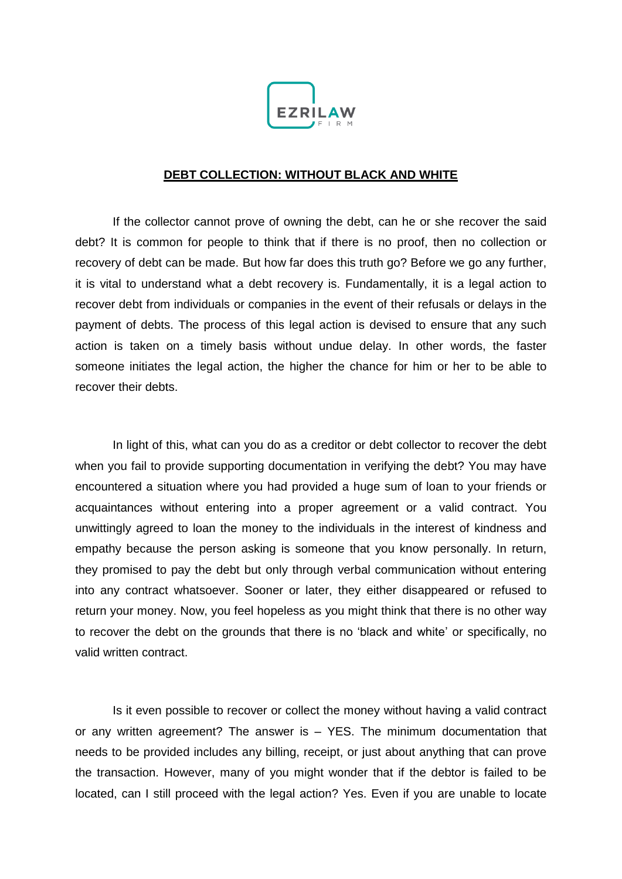

## **DEBT COLLECTION: WITHOUT BLACK AND WHITE**

If the collector cannot prove of owning the debt, can he or she recover the said debt? It is common for people to think that if there is no proof, then no collection or recovery of debt can be made. But how far does this truth go? Before we go any further, it is vital to understand what a debt recovery is. Fundamentally, it is a legal action to recover debt from individuals or companies in the event of their refusals or delays in the payment of debts. The process of this legal action is devised to ensure that any such action is taken on a timely basis without undue delay. In other words, the faster someone initiates the legal action, the higher the chance for him or her to be able to recover their debts.

In light of this, what can you do as a creditor or debt collector to recover the debt when you fail to provide supporting documentation in verifying the debt? You may have encountered a situation where you had provided a huge sum of loan to your friends or acquaintances without entering into a proper agreement or a valid contract. You unwittingly agreed to loan the money to the individuals in the interest of kindness and empathy because the person asking is someone that you know personally. In return, they promised to pay the debt but only through verbal communication without entering into any contract whatsoever. Sooner or later, they either disappeared or refused to return your money. Now, you feel hopeless as you might think that there is no other way to recover the debt on the grounds that there is no 'black and white' or specifically, no valid written contract.

Is it even possible to recover or collect the money without having a valid contract or any written agreement? The answer is – YES. The minimum documentation that needs to be provided includes any billing, receipt, or just about anything that can prove the transaction. However, many of you might wonder that if the debtor is failed to be located, can I still proceed with the legal action? Yes. Even if you are unable to locate